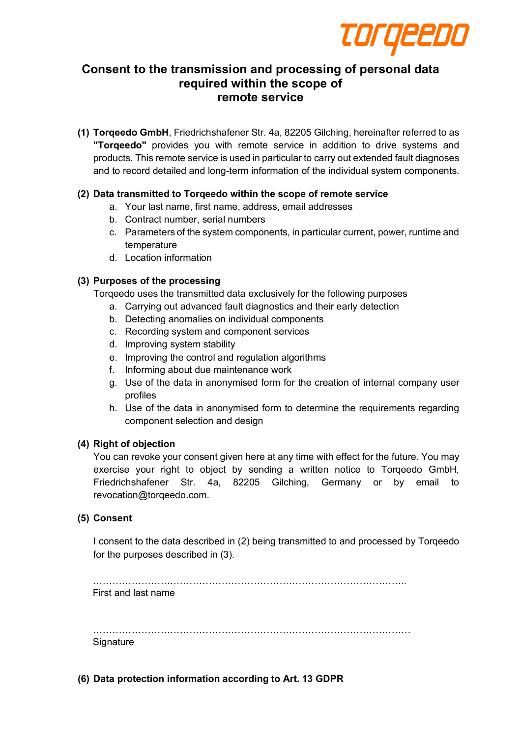

# **Consent to the transmission and processing of personal data required within the scope of remote service**

**(1) Torqeedo GmbH**, Friedrichshafener Str. 4a, 82205 Gilching, hereinafter referred to as **"Torqeedo"** provides you with remote service in addition to drive systems and products. This remote service is used in particular to carry out extended fault diagnoses and to record detailed and long-term information of the individual system components.

# **(2) Data transmitted to Torqeedo within the scope of remote service**

- a. Your last name, first name, address, email addresses
- b. Contract number, serial numbers
- c. Parameters of the system components, in particular current, power, runtime and temperature
- d. Location information

## **(3) Purposes of the processing**

Torqeedo uses the transmitted data exclusively for the following purposes

- a. Carrying out advanced fault diagnostics and their early detection
- b. Detecting anomalies on individual components
- c. Recording system and component services
- d. Improving system stability
- e. Improving the control and regulation algorithms
- f. Informing about due maintenance work
- g. Use of the data in anonymised form for the creation of internal company user profiles
- h. Use of the data in anonymised form to determine the requirements regarding component selection and design

## **(4) Right of objection**

You can revoke your consent given here at any time with effect for the future. You may exercise your right to object by sending a written notice to Torqeedo GmbH, Friedrichshafener Str. 4a, 82205 Gilching, Germany or by email to revocation@torqeedo.com.

## **(5) Consent**

I consent to the data described in (2) being transmitted to and processed by Torqeedo for the purposes described in (3).

…………………………………………………………………………………….. First and last name

……………………………………………………………………………………… **Signature** 

**(6) Data protection information according to Art. 13 GDPR**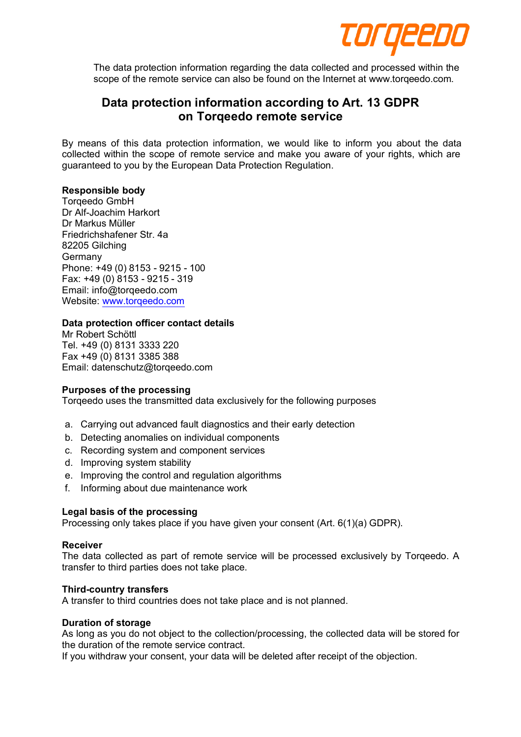

The data protection information regarding the data collected and processed within the scope of the remote service can also be found on the Internet at www.torqeedo.com.

# **Data protection information according to Art. 13 GDPR on Torqeedo remote service**

By means of this data protection information, we would like to inform you about the data collected within the scope of remote service and make you aware of your rights, which are guaranteed to you by the European Data Protection Regulation.

## **Responsible body**

Torqeedo GmbH Dr Alf-Joachim Harkort Dr Markus Müller Friedrichshafener Str. 4a 82205 Gilching Germany Phone: +49 (0) 8153 - 9215 - 100 Fax: +49 (0) 8153 - 9215 - 319 Email: info@torqeedo.com Website: www.torqeedo.com

### **Data protection officer contact details**

Mr Robert Schöttl Tel. +49 (0) 8131 3333 220 Fax +49 (0) 8131 3385 388 Email: datenschutz@torqeedo.com

#### **Purposes of the processing**

Torqeedo uses the transmitted data exclusively for the following purposes

- a. Carrying out advanced fault diagnostics and their early detection
- b. Detecting anomalies on individual components
- c. Recording system and component services
- d. Improving system stability
- e. Improving the control and regulation algorithms
- f. Informing about due maintenance work

#### **Legal basis of the processing**

Processing only takes place if you have given your consent (Art. 6(1)(a) GDPR).

#### **Receiver**

The data collected as part of remote service will be processed exclusively by Torqeedo. A transfer to third parties does not take place.

#### **Third-country transfers**

A transfer to third countries does not take place and is not planned.

#### **Duration of storage**

As long as you do not object to the collection/processing, the collected data will be stored for the duration of the remote service contract.

If you withdraw your consent, your data will be deleted after receipt of the objection.